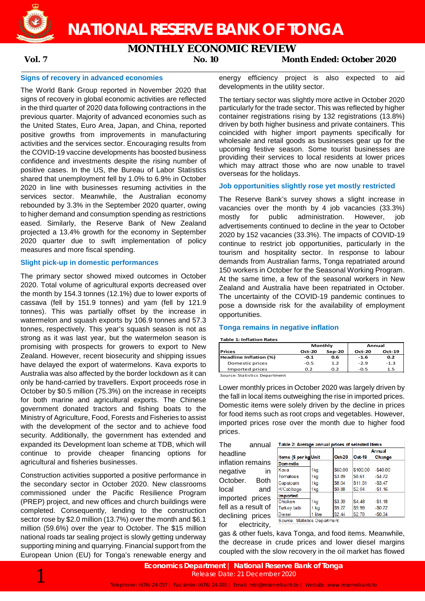**NATIONAL RESERVE BANK OF TONGA**

# **MONTHLY ECONOMIC REVIEW**

**Vol. 7 No. 10 Month Ended: October 2020**

## **Signs of recovery in advanced economies**

The World Bank Group reported in November 2020 that signs of recovery in global economic activities are reflected in the third quarter of 2020 data following contractions in the previous quarter. Majority of advanced economies such as the United States, Euro Area, Japan, and China, reported positive growths from improvements in manufacturing activities and the services sector. Encouraging results from the COVID-19 vaccine developments has boosted business confidence and investments despite the rising number of positive cases. In the US, the Bureau of Labor Statistics shared that unemployment fell by 1.0% to 6.9% in October 2020 in line with businesses resuming activities in the services sector. Meanwhile, the Australian economy rebounded by 3.3% in the September 2020 quarter, owing to higher demand and consumption spending as restrictions eased. Similarly, the Reserve Bank of New Zealand projected a 13.4% growth for the economy in September 2020 quarter due to swift implementation of policy measures and more fiscal spending.

# **Slight pick-up in domestic performances**

The primary sector showed mixed outcomes in October 2020. Total volume of agricultural exports decreased over the month by 154.3 tonnes (12.1%) due to lower exports of cassava (fell by 151.9 tonnes) and yam (fell by 121.9 tonnes). This was partially offset by the increase in watermelon and squash exports by 106.9 tonnes and 57.3 tonnes, respectively. This year's squash season is not as strong as it was last year, but the watermelon season is promising with prospects for growers to export to New Zealand. However, recent biosecurity and shipping issues have delayed the export of watermelons. Kava exports to Australia was also affected by the border lockdown as it can only be hand-carried by travellers. Export proceeds rose in October by \$0.5 million (75.3%) on the increase in receipts for both marine and agricultural exports. The Chinese government donated tractors and fishing boats to the Ministry of Agriculture, Food, Forests and Fisheries to assist with the development of the sector and to achieve food security. Additionally, the government has extended and expanded its Development loan scheme at TDB, which will continue to provide cheaper financing options for agricultural and fisheries businesses.

Construction activities supported a positive performance in the secondary sector in October 2020. New classrooms commissioned under the Pacific Resilience Program (PREP) project, and new offices and church buildings were completed. Consequently, lending to the construction sector rose by \$2.0 million (13.7%) over the month and \$6.1 million (59.6%) over the year to October. The \$15 million national roads tar sealing project is slowly getting underway supporting mining and quarrying. Financial support from the European Union (EU) for Tonga's renewable energy and

energy efficiency project is also expected to aid developments in the utility sector.

The tertiary sector was slightly more active in October 2020 particularly for the trade sector. This was reflected by higher container registrations rising by 132 registrations (13.8%) driven by both higher business and private containers. This coincided with higher import payments specifically for wholesale and retail goods as businesses gear up for the upcoming festive season. Some tourist businesses are providing their services to local residents at lower prices which may attract those who are now unable to travel overseas for the holidays.

### **Job opportunities slightly rose yet mostly restricted**

The Reserve Bank's survey shows a slight increase in vacancies over the month by 4 job vacancies (33.3%) mostly for public administration. However, job advertisements continued to decline in the year to October 2020 by 152 vacancies (33.3%). The impacts of COVID-19 continue to restrict job opportunities, particularly in the tourism and hospitality sector. In response to labour demands from Australian farms, Tonga repatriated around 150 workers in October for the Seasonal Working Program. At the same time, a few of the seasonal workers in New Zealand and Australia have been repatriated in October. The uncertainty of the COVID-19 pandemic continues to pose a downside risk for the availability of employment opportunities.

### **Tonga remains in negative inflation**

**Table 1: Inflation Rates**

|                               |               | Monthly  | Annual   |        |  |
|-------------------------------|---------------|----------|----------|--------|--|
| <b>IPrices</b>                | <b>Oct-20</b> | $Sep-20$ | $Oct-20$ | Oct-19 |  |
| Headline Inflation (%)        | -0.1          | 0.6      | $-1.6$   | 0.2    |  |
| Domestic prices               | -0.5          | 1.2      | $-2.9$   | $-1.3$ |  |
| Imported prices               | 0.2           | 0.2      | $-0.5$   | 1.5    |  |
| Course: Ctatistics Dopostmont |               |          |          |        |  |

ource: Statistics Department

Lower monthly prices in October 2020 was largely driven by the fall in local items outweighing the rise in imported prices. Domestic items were solely driven by the decline in prices for food items such as root crops and vegetables. However, imported prices rose over the month due to higher food prices.

The annual headline inflation remains negative in October. Both local and imported prices fell as a result of declining prices for electricity,

| Table 2: Average annual prices of selected items |                 |               |               |            |  |  |  |
|--------------------------------------------------|-----------------|---------------|---------------|------------|--|--|--|
|                                                  |                 |               | Annual        |            |  |  |  |
| Items (\$ per kg Unit                            |                 | <b>Oct 20</b> | <b>Oct-19</b> | Change     |  |  |  |
| <b>Domestic</b>                                  |                 |               |               |            |  |  |  |
| Kava                                             | 1kg             | \$60.00       | \$100.00      | $-540.00$  |  |  |  |
| Tomatoes                                         | 1 <sub>kq</sub> | \$3.89        | \$8.61        | $-$4.72$   |  |  |  |
| Capsicum                                         | 1kg             | \$8.04        | \$11.51       | $-$ \$3.47 |  |  |  |
| H/Cabbage                                        | 1kg             | \$0.88        | \$2.04        | $-$1.16$   |  |  |  |
| Imported                                         |                 |               |               |            |  |  |  |
| Chicken                                          | 1kg             | \$3.30        | \$4.48        | $-$1.18$   |  |  |  |
| <b>Turkey tails</b>                              | $1$ kg          | \$9.27        | \$9.99        | $-50.72$   |  |  |  |
| Diesel                                           | 1 litre         | \$2.44        | \$2.78        | $-50.34$   |  |  |  |
| Source: Statistics Department                    |                 |               |               |            |  |  |  |

gas & other fuels, kava Tonga, and food items. Meanwhile, the decrease in crude prices and lower diesel margins coupled with the slow recovery in the oil market has flowed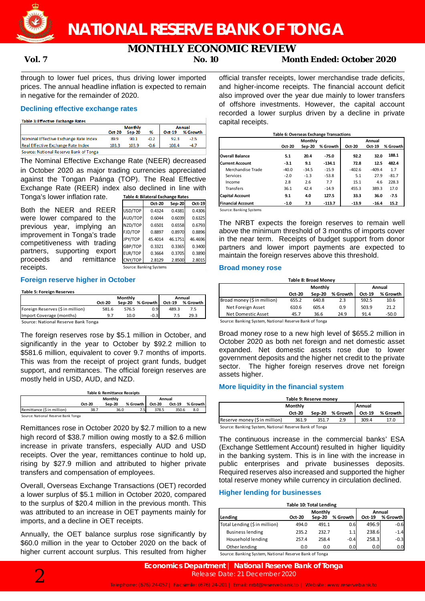

# **MONTHLY ECONOMIC REVIEW**<br>No. 10 Mor

**Vol. 7 No. 10 Month Ended: October 2020**

through to lower fuel prices, thus driving lower imported prices. The annual headline inflation is expected to remain in negative for the remainder of 2020.

# **Declining effective exchange rates**

| <b>Table 3: Effective Exchange Rates</b> |                |        |        |               |          |  |
|------------------------------------------|----------------|--------|--------|---------------|----------|--|
|                                          | <b>Monthly</b> |        |        | <b>Annual</b> |          |  |
|                                          | <b>Oct-20</b>  | Sep-20 | %      | $Oct-19$      | % Growth |  |
| Nominal Effective Exchange Rate Index    | 89.9           | 90.1   | $-0.2$ | 92.3          | $-2.5$   |  |
| Real Effective Exchange Rate Index       | 103.3          | 103.9  | -0.6   | 108.4         | $-4.7$   |  |
| Source: National Reserve Bank of Tonga   |                |        |        |               |          |  |

The Nominal Effective Exchange Rate (NEER) decreased in October 2020 as major trading currencies appreciated against the Tongan Paánga (TOP). The Real Effective Exchange Rate (REER) index also declined in line with Tonga's lower inflation rate.

Both the NEER and REER were lower compared to the previous year, implying an improvement in Tonga's trade competitiveness with trading partners, supporting export proceeds and remittance receipts.

| Table 4: Bilateral Exchange Rates |         |               |         |  |  |  |  |  |
|-----------------------------------|---------|---------------|---------|--|--|--|--|--|
|                                   | Oct-20  | <b>Sep-20</b> | Oct-19  |  |  |  |  |  |
| USD/TOP                           | 0.4324  | 0.4381        | 0.4306  |  |  |  |  |  |
| AUD/TOP                           | 0.6044  | 0.6039        | 0.6325  |  |  |  |  |  |
| NZD/TOP                           | 0.6501  | 0.6558        | 0.6793  |  |  |  |  |  |
| FJD/TOP                           | 0.8897  | 0.8970        | 0.8896  |  |  |  |  |  |
| JPY/TOP                           | 45.4014 | 46.1751       | 46.4696 |  |  |  |  |  |
| GBP/TOP                           | 0.3321  | 0.3365        | 0.3400  |  |  |  |  |  |
| EUR/TOP                           | 0.3664  | 0.3705        | 0.3890  |  |  |  |  |  |
| CNY/TOP                           | 2.8129  | 2.8500        | 2.8015  |  |  |  |  |  |

Source: Banking Systems

# **Foreign reserve higher in October**

#### **Table 5: Foreign Reserves**

|                                     |        | Monthly | Annual   |        |          |
|-------------------------------------|--------|---------|----------|--------|----------|
|                                     | Oct-20 | Sep-20  | % Growth | Oct-19 | % Growth |
| Foreign Reserves (\$ in million)    | 581.6  | 576.5   | 0.9      | 489.3  | 7.5      |
| Import Coverage (months)            | 9.7    | 10.0    | $-0.3$   | 7.5    | 29.3     |
| Source: National Reserve Bank Tonga |        |         |          |        |          |

Iational Reserve Ban

The foreign reserves rose by \$5.1 million in October, and significantly in the year to October by \$92.2 million to \$581.6 million, equivalent to cover 9.7 months of imports. This was from the receipt of project grant funds, budget support, and remittances. The official foreign reserves are mostly held in USD, AUD, and NZD.

| <b>Table 6: Remittance Receipts</b> |               |        |          |               |        |          |  |
|-------------------------------------|---------------|--------|----------|---------------|--------|----------|--|
|                                     |               | Annual |          |               |        |          |  |
|                                     | <b>Oct-20</b> | Sep-20 | % Growth | <b>Oct-20</b> | Oct-19 | % Growth |  |
| Remittance (\$ in million)          | 38.7          | 36.0   | 7.5      | 378.5         | 350.6  | 8.0      |  |
| Source: National Reserve Bank Tonga |               |        |          |               |        |          |  |

Remittances rose in October 2020 by \$2.7 million to a new high record of \$38.7 million owing mostly to a \$2.6 million increase in private transfers, especially AUD and USD receipts. Over the year, remittances continue to hold up, rising by \$27.9 million and attributed to higher private transfers and compensation of employees.

Overall, Overseas Exchange Transactions (OET) recorded a lower surplus of \$5.1 million in October 2020, compared to the surplus of \$20.4 million in the previous month. This was attributed to an increase in OET payments mainly for imports, and a decline in OET receipts.

Annually, the OET balance surplus rose significantly by \$60.0 million in the year to October 2020 on the back of higher current account surplus. This resulted from higher

official transfer receipts, lower merchandise trade deficits, and higher-income receipts. The financial account deficit also improved over the year due mainly to lower transfers of offshore investments. However, the capital account recorded a lower surplus driven by a decline in private capital receipts.

| <b>Table 6: Overseas Exchange Transactions</b> |         |                |          |          |          |          |  |
|------------------------------------------------|---------|----------------|----------|----------|----------|----------|--|
|                                                |         | <b>Monthly</b> |          |          | Annual   |          |  |
|                                                | Oct-20  | Sep-20         | % Growth | Oct-20   | Oct-19   | % Growth |  |
| <b>Overall Balance</b>                         | 5.1     | 20.4           | $-75.0$  | 92.2     | 32.0     | 188.1    |  |
| <b>Current Account</b>                         | $-3.1$  | 9.1            | $-134.1$ | 72.8     | 12.5     | 482.4    |  |
| Merchandise Trade                              | $-40.0$ | $-34.5$        | $-15.9$  | $-402.6$ | $-409.4$ | 1.7      |  |
| Services                                       | $-2.0$  | $-1.3$         | $-53.8$  | 5.1      | 27.9     | $-81.7$  |  |
| Income                                         | 2.8     | 2.6            | 7.7      | 15.1     | 4.6      | 228.3    |  |
| <b>Transfers</b>                               | 36.1    | 42.4           | $-14.9$  | 455.3    | 389.3    | 17.0     |  |
| <b>Capital Account</b>                         | 9.1     | 4.0            | 127.5    | 33.3     | 36.0     | $-7.5$   |  |
| <b>Financial Account</b>                       | $-1.0$  | 7.3            | $-113.7$ | $-13.9$  | $-16.4$  | 15.2     |  |

Source: Banking Systems

The NRBT expects the foreign reserves to remain well above the minimum threshold of 3 months of imports cover in the near term. Receipts of budget support from donor partners and lower import payments are expected to maintain the foreign reserves above this threshold.

## **Broad money rose**

| <b>Table 8: Broad Money</b> |               |         |          |        |          |  |  |
|-----------------------------|---------------|---------|----------|--------|----------|--|--|
|                             |               | Monthly |          | Annual |          |  |  |
|                             | <b>Oct-20</b> | Sep-20  | % Growth | Oct-19 | % Growth |  |  |
| Broad money (\$ in million) | 655.2         | 640.8   | 2.3      | 592.5  | 10.6     |  |  |
| Net Foreign Asset           | 610.6         | 605.4   | 0.9      | 503.9  | 21.2     |  |  |
| Net Domestic Asset          | 45.7          | 36.6    | 24.9     | 91.4   | $-50.0$  |  |  |

Source: Banking System, National Reserve Bank of Tonga

Broad money rose to a new high level of \$655.2 million in October 2020 as both net foreign and net domestic asset expanded. Net domestic assets rose due to lower government deposits and the higher net credit to the private sector. The higher foreign reserves drove net foreign assets higher.

# **More liquidity in the financial system**

| Table 9: Reserve money                                 |        |       |                 |               |          |  |  |
|--------------------------------------------------------|--------|-------|-----------------|---------------|----------|--|--|
| <b>Monthly</b>                                         |        |       |                 | <b>Annual</b> |          |  |  |
|                                                        | Oct-20 |       | Sep-20 % Growth | Oct-19        | % Growth |  |  |
| Reserve money (\$ in million)                          | 361.9  | 351.7 | 2.9             | 309.4         | 17.0     |  |  |
| Course: Panking Sustam, National Peserua Rank of Tonga |        |       |                 |               |          |  |  |

Source: Banking System, National Reserve Bank of Tonga

The continuous increase in the commercial banks' ESA (Exchange Settlement Account) resulted in higher liquidity in the banking system. This is in line with the increase in public enterprises and private businesses deposits. Required reserves also increased and supported the higher total reserve money while currency in circulation declined.

# **Higher lending for businesses**

| Table 10: Total Lending                                |                   |        |                  |        |          |  |  |
|--------------------------------------------------------|-------------------|--------|------------------|--------|----------|--|--|
|                                                        | Monthly<br>Annual |        |                  |        |          |  |  |
| Lending                                                | Oct-20            | Sep-20 | % Growth         | Oct-19 | % Growth |  |  |
| Total Lending (\$ in million)                          | 494.0             | 491.1  | 0.6              | 496.9  | $-0.6$   |  |  |
| <b>Business lending</b>                                | 235.2             | 232.7  | 1.1              | 238.6  | $-1.4$   |  |  |
| Household lending                                      | 257.4             | 258.4  | $-0.4$           | 258.3  | $-0.3$   |  |  |
| Other lending                                          | 0.0               | 0.0    | 0.0 <sub>l</sub> | 0.0    | 0.0      |  |  |
| Source: Banking System, National Reserve Bank of Tonga |                   |        |                  |        |          |  |  |

Source: Banking System, National Reserve Bank of Tonga

**Economics Department | National Reserve Bank of Tonga**<br>Release Date: 21 December 2020<br>Telephone: (676) 24-057 | Facsimile: (676) 24-201 | Email: nrbt@reservebank.to | Website: www.reservebank.to Release Date: 21 December 2020